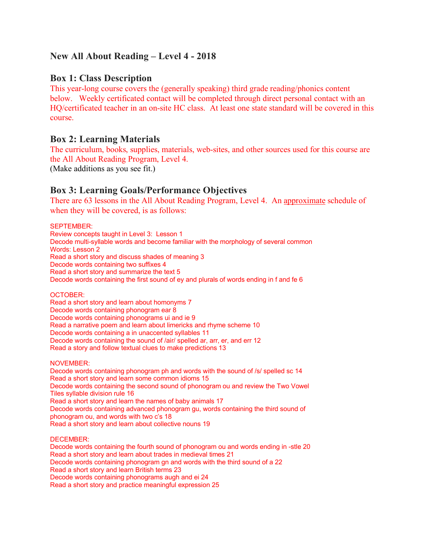# **New All About Reading – Level 4 - 2018**

## **Box 1: Class Description**

This year-long course covers the (generally speaking) third grade reading/phonics content below. Weekly certificated contact will be completed through direct personal contact with an HQ/certificated teacher in an on-site HC class. At least one state standard will be covered in this course.

## **Box 2: Learning Materials**

The curriculum, books, supplies, materials, web-sites, and other sources used for this course are the All About Reading Program, Level 4. (Make additions as you see fit.)

# **Box 3: Learning Goals/Performance Objectives**

There are 63 lessons in the All About Reading Program, Level 4. An approximate schedule of when they will be covered, is as follows:

SEPTEMBER:

Review concepts taught in Level 3: Lesson 1 Decode multi-syllable words and become familiar with the morphology of several common Words: Lesson 2 Read a short story and discuss shades of meaning 3 Decode words containing two suffixes 4 Read a short story and summarize the text 5 Decode words containing the first sound of ey and plurals of words ending in f and fe 6

OCTOBER:

Read a short story and learn about homonyms 7 Decode words containing phonogram ear 8 Decode words containing phonograms ui and ie 9 Read a narrative poem and learn about limericks and rhyme scheme 10 Decode words containing a in unaccented syllables 11 Decode words containing the sound of /air/ spelled ar, arr, er, and err 12 Read a story and follow textual clues to make predictions 13

NOVEMBER:

Decode words containing phonogram ph and words with the sound of /s/ spelled sc 14 Read a short story and learn some common idioms 15 Decode words containing the second sound of phonogram ou and review the Two Vowel Tiles syllable division rule 16 Read a short story and learn the names of baby animals 17 Decode words containing advanced phonogram gu, words containing the third sound of phonogram ou, and words with two c's 18 Read a short story and learn about collective nouns 19

DECEMBER:

Decode words containing the fourth sound of phonogram ou and words ending in -stle 20 Read a short story and learn about trades in medieval times 21 Decode words containing phonogram gn and words with the third sound of a 22 Read a short story and learn British terms 23 Decode words containing phonograms augh and ei 24 Read a short story and practice meaningful expression 25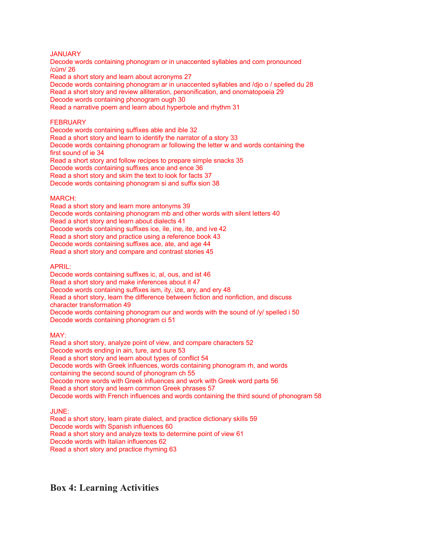### JANUARY

Decode words containing phonogram or in unaccented syllables and com pronounced /cŭm/ 26 Read a short story and learn about acronyms 27

Decode words containing phonogram ar in unaccented syllables and /djo o / spelled du 28 Read a short story and review alliteration, personification, and onomatopoeia 29 Decode words containing phonogram ough 30 Read a narrative poem and learn about hyperbole and rhythm 31

### **FEBRUARY**

Decode words containing suffixes able and ible 32 Read a short story and learn to identify the narrator of a story 33 Decode words containing phonogram ar following the letter w and words containing the first sound of ie 34 Read a short story and follow recipes to prepare simple snacks 35 Decode words containing suffixes ance and ence 36 Read a short story and skim the text to look for facts 37 Decode words containing phonogram si and suffix sion 38

#### MARCH:

Read a short story and learn more antonyms 39 Decode words containing phonogram mb and other words with silent letters 40 Read a short story and learn about dialects 41 Decode words containing suffixes ice, ile, ine, ite, and ive 42 Read a short story and practice using a reference book 43 Decode words containing suffixes ace, ate, and age 44 Read a short story and compare and contrast stories 45

#### APRIL:

Decode words containing suffixes ic, al, ous, and ist 46 Read a short story and make inferences about it 47 Decode words containing suffixes ism, ity, ize, ary, and ery 48 Read a short story, learn the difference between fiction and nonfiction, and discuss character transformation 49 Decode words containing phonogram our and words with the sound of /y/ spelled i 50 Decode words containing phonogram ci 51

#### MAY:

Read a short story, analyze point of view, and compare characters 52 Decode words ending in ain, ture, and sure 53 Read a short story and learn about types of conflict 54 Decode words with Greek influences, words containing phonogram rh, and words containing the second sound of phonogram ch 55 Decode more words with Greek influences and work with Greek word parts 56 Read a short story and learn common Greek phrases 57 Decode words with French influences and words containing the third sound of phonogram 58

### JUNE:

Read a short story, learn pirate dialect, and practice dictionary skills 59 Decode words with Spanish influences 60 Read a short story and analyze texts to determine point of view 61 Decode words with Italian influences 62 Read a short story and practice rhyming 63

# **Box 4: Learning Activities**